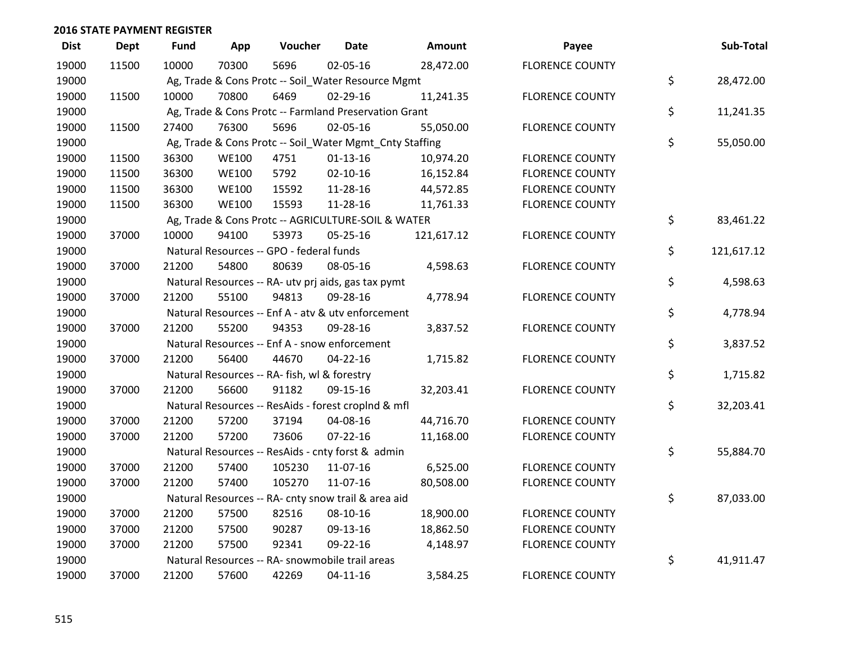| <b>Dist</b> | <b>Dept</b> | <b>Fund</b> | App          | Voucher                                                 | <b>Date</b>    | Amount     | Payee                  | Sub-Total        |
|-------------|-------------|-------------|--------------|---------------------------------------------------------|----------------|------------|------------------------|------------------|
| 19000       | 11500       | 10000       | 70300        | 5696                                                    | 02-05-16       | 28,472.00  | <b>FLORENCE COUNTY</b> |                  |
| 19000       |             |             |              | Ag, Trade & Cons Protc -- Soil_Water Resource Mgmt      |                |            |                        | \$<br>28,472.00  |
| 19000       | 11500       | 10000       | 70800        | 6469                                                    | $02 - 29 - 16$ | 11,241.35  | <b>FLORENCE COUNTY</b> |                  |
| 19000       |             |             |              | Ag, Trade & Cons Protc -- Farmland Preservation Grant   |                |            |                        | \$<br>11,241.35  |
| 19000       | 11500       | 27400       | 76300        | 5696                                                    | 02-05-16       | 55,050.00  | <b>FLORENCE COUNTY</b> |                  |
| 19000       |             |             |              | Ag, Trade & Cons Protc -- Soil_Water Mgmt_Cnty Staffing |                |            |                        | \$<br>55,050.00  |
| 19000       | 11500       | 36300       | <b>WE100</b> | 4751                                                    | $01 - 13 - 16$ | 10,974.20  | <b>FLORENCE COUNTY</b> |                  |
| 19000       | 11500       | 36300       | <b>WE100</b> | 5792                                                    | $02 - 10 - 16$ | 16,152.84  | <b>FLORENCE COUNTY</b> |                  |
| 19000       | 11500       | 36300       | <b>WE100</b> | 15592                                                   | 11-28-16       | 44,572.85  | <b>FLORENCE COUNTY</b> |                  |
| 19000       | 11500       | 36300       | <b>WE100</b> | 15593                                                   | 11-28-16       | 11,761.33  | <b>FLORENCE COUNTY</b> |                  |
| 19000       |             |             |              | Ag, Trade & Cons Protc -- AGRICULTURE-SOIL & WATER      |                |            |                        | \$<br>83,461.22  |
| 19000       | 37000       | 10000       | 94100        | 53973                                                   | 05-25-16       | 121,617.12 | <b>FLORENCE COUNTY</b> |                  |
| 19000       |             |             |              | Natural Resources -- GPO - federal funds                |                |            |                        | \$<br>121,617.12 |
| 19000       | 37000       | 21200       | 54800        | 80639                                                   | 08-05-16       | 4,598.63   | <b>FLORENCE COUNTY</b> |                  |
| 19000       |             |             |              | Natural Resources -- RA- utv prj aids, gas tax pymt     |                |            |                        | \$<br>4,598.63   |
| 19000       | 37000       | 21200       | 55100        | 94813                                                   | 09-28-16       | 4,778.94   | <b>FLORENCE COUNTY</b> |                  |
| 19000       |             |             |              | Natural Resources -- Enf A - atv & utv enforcement      |                |            |                        | \$<br>4,778.94   |
| 19000       | 37000       | 21200       | 55200        | 94353                                                   | 09-28-16       | 3,837.52   | <b>FLORENCE COUNTY</b> |                  |
| 19000       |             |             |              | Natural Resources -- Enf A - snow enforcement           |                |            |                        | \$<br>3,837.52   |
| 19000       | 37000       | 21200       | 56400        | 44670                                                   | $04 - 22 - 16$ | 1,715.82   | <b>FLORENCE COUNTY</b> |                  |
| 19000       |             |             |              | Natural Resources -- RA- fish, wl & forestry            |                |            |                        | \$<br>1,715.82   |
| 19000       | 37000       | 21200       | 56600        | 91182                                                   | 09-15-16       | 32,203.41  | <b>FLORENCE COUNTY</b> |                  |
| 19000       |             |             |              | Natural Resources -- ResAids - forest croplnd & mfl     |                |            |                        | \$<br>32,203.41  |
| 19000       | 37000       | 21200       | 57200        | 37194                                                   | 04-08-16       | 44,716.70  | <b>FLORENCE COUNTY</b> |                  |
| 19000       | 37000       | 21200       | 57200        | 73606                                                   | $07 - 22 - 16$ | 11,168.00  | <b>FLORENCE COUNTY</b> |                  |
| 19000       |             |             |              | Natural Resources -- ResAids - cnty forst & admin       |                |            |                        | \$<br>55,884.70  |
| 19000       | 37000       | 21200       | 57400        | 105230                                                  | 11-07-16       | 6,525.00   | <b>FLORENCE COUNTY</b> |                  |
| 19000       | 37000       | 21200       | 57400        | 105270                                                  | 11-07-16       | 80,508.00  | <b>FLORENCE COUNTY</b> |                  |
| 19000       |             |             |              | Natural Resources -- RA- cnty snow trail & area aid     |                |            |                        | \$<br>87,033.00  |
| 19000       | 37000       | 21200       | 57500        | 82516                                                   | 08-10-16       | 18,900.00  | <b>FLORENCE COUNTY</b> |                  |
| 19000       | 37000       | 21200       | 57500        | 90287                                                   | 09-13-16       | 18,862.50  | <b>FLORENCE COUNTY</b> |                  |
| 19000       | 37000       | 21200       | 57500        | 92341                                                   | 09-22-16       | 4,148.97   | <b>FLORENCE COUNTY</b> |                  |
| 19000       |             |             |              | Natural Resources -- RA- snowmobile trail areas         |                |            |                        | \$<br>41,911.47  |
| 19000       | 37000       | 21200       | 57600        | 42269                                                   | $04 - 11 - 16$ | 3,584.25   | <b>FLORENCE COUNTY</b> |                  |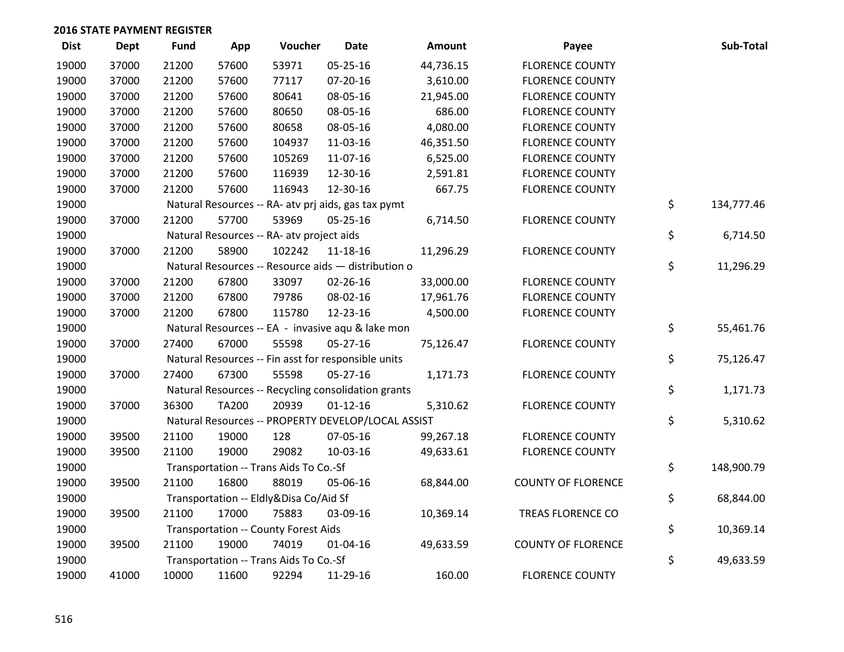| <b>Dist</b> | <b>Dept</b> | <b>Fund</b> | App          | Voucher                                             | <b>Date</b>    | Amount    | Payee                     | Sub-Total        |
|-------------|-------------|-------------|--------------|-----------------------------------------------------|----------------|-----------|---------------------------|------------------|
| 19000       | 37000       | 21200       | 57600        | 53971                                               | 05-25-16       | 44,736.15 | <b>FLORENCE COUNTY</b>    |                  |
| 19000       | 37000       | 21200       | 57600        | 77117                                               | 07-20-16       | 3,610.00  | <b>FLORENCE COUNTY</b>    |                  |
| 19000       | 37000       | 21200       | 57600        | 80641                                               | 08-05-16       | 21,945.00 | <b>FLORENCE COUNTY</b>    |                  |
| 19000       | 37000       | 21200       | 57600        | 80650                                               | 08-05-16       | 686.00    | <b>FLORENCE COUNTY</b>    |                  |
| 19000       | 37000       | 21200       | 57600        | 80658                                               | 08-05-16       | 4,080.00  | <b>FLORENCE COUNTY</b>    |                  |
| 19000       | 37000       | 21200       | 57600        | 104937                                              | 11-03-16       | 46,351.50 | <b>FLORENCE COUNTY</b>    |                  |
| 19000       | 37000       | 21200       | 57600        | 105269                                              | 11-07-16       | 6,525.00  | <b>FLORENCE COUNTY</b>    |                  |
| 19000       | 37000       | 21200       | 57600        | 116939                                              | 12-30-16       | 2,591.81  | <b>FLORENCE COUNTY</b>    |                  |
| 19000       | 37000       | 21200       | 57600        | 116943                                              | 12-30-16       | 667.75    | <b>FLORENCE COUNTY</b>    |                  |
| 19000       |             |             |              | Natural Resources -- RA- atv prj aids, gas tax pymt |                |           |                           | \$<br>134,777.46 |
| 19000       | 37000       | 21200       | 57700        | 53969                                               | $05 - 25 - 16$ | 6,714.50  | <b>FLORENCE COUNTY</b>    |                  |
| 19000       |             |             |              | Natural Resources -- RA- atv project aids           |                |           |                           | \$<br>6,714.50   |
| 19000       | 37000       | 21200       | 58900        | 102242                                              | $11 - 18 - 16$ | 11,296.29 | <b>FLORENCE COUNTY</b>    |                  |
| 19000       |             |             |              | Natural Resources -- Resource aids - distribution o |                |           |                           | \$<br>11,296.29  |
| 19000       | 37000       | 21200       | 67800        | 33097                                               | 02-26-16       | 33,000.00 | <b>FLORENCE COUNTY</b>    |                  |
| 19000       | 37000       | 21200       | 67800        | 79786                                               | 08-02-16       | 17,961.76 | <b>FLORENCE COUNTY</b>    |                  |
| 19000       | 37000       | 21200       | 67800        | 115780                                              | 12-23-16       | 4,500.00  | <b>FLORENCE COUNTY</b>    |                  |
| 19000       |             |             |              | Natural Resources -- EA - invasive aqu & lake mon   |                |           |                           | \$<br>55,461.76  |
| 19000       | 37000       | 27400       | 67000        | 55598                                               | 05-27-16       | 75,126.47 | <b>FLORENCE COUNTY</b>    |                  |
| 19000       |             |             |              | Natural Resources -- Fin asst for responsible units |                |           |                           | \$<br>75,126.47  |
| 19000       | 37000       | 27400       | 67300        | 55598                                               | 05-27-16       | 1,171.73  | <b>FLORENCE COUNTY</b>    |                  |
| 19000       |             |             |              | Natural Resources -- Recycling consolidation grants |                |           |                           | \$<br>1,171.73   |
| 19000       | 37000       | 36300       | <b>TA200</b> | 20939                                               | $01 - 12 - 16$ | 5,310.62  | <b>FLORENCE COUNTY</b>    |                  |
| 19000       |             |             |              | Natural Resources -- PROPERTY DEVELOP/LOCAL ASSIST  |                |           |                           | \$<br>5,310.62   |
| 19000       | 39500       | 21100       | 19000        | 128                                                 | 07-05-16       | 99,267.18 | <b>FLORENCE COUNTY</b>    |                  |
| 19000       | 39500       | 21100       | 19000        | 29082                                               | 10-03-16       | 49,633.61 | <b>FLORENCE COUNTY</b>    |                  |
| 19000       |             |             |              | Transportation -- Trans Aids To Co.-Sf              |                |           |                           | \$<br>148,900.79 |
| 19000       | 39500       | 21100       | 16800        | 88019                                               | 05-06-16       | 68,844.00 | <b>COUNTY OF FLORENCE</b> |                  |
| 19000       |             |             |              | Transportation -- Eldly&Disa Co/Aid Sf              |                |           |                           | \$<br>68,844.00  |
| 19000       | 39500       | 21100       | 17000        | 75883                                               | 03-09-16       | 10,369.14 | TREAS FLORENCE CO         |                  |
| 19000       |             |             |              | <b>Transportation -- County Forest Aids</b>         |                |           |                           | \$<br>10,369.14  |
| 19000       | 39500       | 21100       | 19000        | 74019                                               | $01 - 04 - 16$ | 49,633.59 | <b>COUNTY OF FLORENCE</b> |                  |
| 19000       |             |             |              | Transportation -- Trans Aids To Co.-Sf              |                |           |                           | \$<br>49,633.59  |
| 19000       | 41000       | 10000       | 11600        | 92294                                               | 11-29-16       | 160.00    | <b>FLORENCE COUNTY</b>    |                  |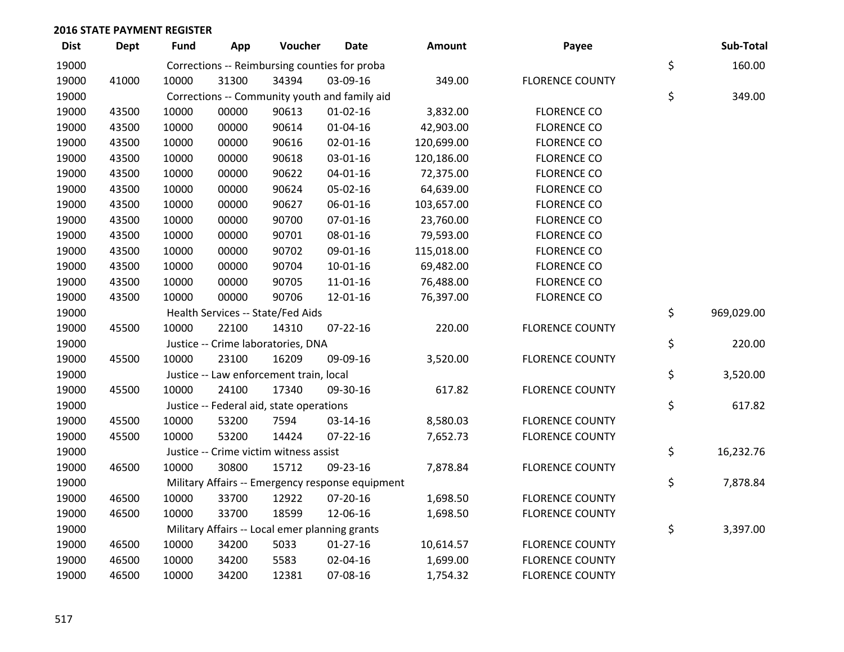| <b>Dist</b> | <b>Dept</b> | <b>Fund</b> | App   | Voucher                                        | <b>Date</b>                                      | Amount     | Payee                  | Sub-Total        |
|-------------|-------------|-------------|-------|------------------------------------------------|--------------------------------------------------|------------|------------------------|------------------|
| 19000       |             |             |       |                                                | Corrections -- Reimbursing counties for proba    |            |                        | \$<br>160.00     |
| 19000       | 41000       | 10000       | 31300 | 34394                                          | 03-09-16                                         | 349.00     | <b>FLORENCE COUNTY</b> |                  |
| 19000       |             |             |       |                                                | Corrections -- Community youth and family aid    |            |                        | \$<br>349.00     |
| 19000       | 43500       | 10000       | 00000 | 90613                                          | $01 - 02 - 16$                                   | 3,832.00   | <b>FLORENCE CO</b>     |                  |
| 19000       | 43500       | 10000       | 00000 | 90614                                          | $01 - 04 - 16$                                   | 42,903.00  | <b>FLORENCE CO</b>     |                  |
| 19000       | 43500       | 10000       | 00000 | 90616                                          | $02 - 01 - 16$                                   | 120,699.00 | <b>FLORENCE CO</b>     |                  |
| 19000       | 43500       | 10000       | 00000 | 90618                                          | 03-01-16                                         | 120,186.00 | <b>FLORENCE CO</b>     |                  |
| 19000       | 43500       | 10000       | 00000 | 90622                                          | $04 - 01 - 16$                                   | 72,375.00  | <b>FLORENCE CO</b>     |                  |
| 19000       | 43500       | 10000       | 00000 | 90624                                          | 05-02-16                                         | 64,639.00  | <b>FLORENCE CO</b>     |                  |
| 19000       | 43500       | 10000       | 00000 | 90627                                          | 06-01-16                                         | 103,657.00 | <b>FLORENCE CO</b>     |                  |
| 19000       | 43500       | 10000       | 00000 | 90700                                          | $07 - 01 - 16$                                   | 23,760.00  | <b>FLORENCE CO</b>     |                  |
| 19000       | 43500       | 10000       | 00000 | 90701                                          | 08-01-16                                         | 79,593.00  | <b>FLORENCE CO</b>     |                  |
| 19000       | 43500       | 10000       | 00000 | 90702                                          | 09-01-16                                         | 115,018.00 | <b>FLORENCE CO</b>     |                  |
| 19000       | 43500       | 10000       | 00000 | 90704                                          | $10-01-16$                                       | 69,482.00  | <b>FLORENCE CO</b>     |                  |
| 19000       | 43500       | 10000       | 00000 | 90705                                          | $11 - 01 - 16$                                   | 76,488.00  | <b>FLORENCE CO</b>     |                  |
| 19000       | 43500       | 10000       | 00000 | 90706                                          | 12-01-16                                         | 76,397.00  | <b>FLORENCE CO</b>     |                  |
| 19000       |             |             |       | Health Services -- State/Fed Aids              |                                                  |            |                        | \$<br>969,029.00 |
| 19000       | 45500       | 10000       | 22100 | 14310                                          | $07 - 22 - 16$                                   | 220.00     | <b>FLORENCE COUNTY</b> |                  |
| 19000       |             |             |       | Justice -- Crime laboratories, DNA             |                                                  |            |                        | \$<br>220.00     |
| 19000       | 45500       | 10000       | 23100 | 16209                                          | 09-09-16                                         | 3,520.00   | <b>FLORENCE COUNTY</b> |                  |
| 19000       |             |             |       | Justice -- Law enforcement train, local        |                                                  |            |                        | \$<br>3,520.00   |
| 19000       | 45500       | 10000       | 24100 | 17340                                          | 09-30-16                                         | 617.82     | <b>FLORENCE COUNTY</b> |                  |
| 19000       |             |             |       | Justice -- Federal aid, state operations       |                                                  |            |                        | \$<br>617.82     |
| 19000       | 45500       | 10000       | 53200 | 7594                                           | 03-14-16                                         | 8,580.03   | <b>FLORENCE COUNTY</b> |                  |
| 19000       | 45500       | 10000       | 53200 | 14424                                          | $07 - 22 - 16$                                   | 7,652.73   | <b>FLORENCE COUNTY</b> |                  |
| 19000       |             |             |       | Justice -- Crime victim witness assist         |                                                  |            |                        | \$<br>16,232.76  |
| 19000       | 46500       | 10000       | 30800 | 15712                                          | 09-23-16                                         | 7,878.84   | <b>FLORENCE COUNTY</b> |                  |
| 19000       |             |             |       |                                                | Military Affairs -- Emergency response equipment |            |                        | \$<br>7,878.84   |
| 19000       | 46500       | 10000       | 33700 | 12922                                          | 07-20-16                                         | 1,698.50   | <b>FLORENCE COUNTY</b> |                  |
| 19000       | 46500       | 10000       | 33700 | 18599                                          | 12-06-16                                         | 1,698.50   | <b>FLORENCE COUNTY</b> |                  |
| 19000       |             |             |       | Military Affairs -- Local emer planning grants |                                                  |            |                        | \$<br>3,397.00   |
| 19000       | 46500       | 10000       | 34200 | 5033                                           | $01-27-16$                                       | 10,614.57  | <b>FLORENCE COUNTY</b> |                  |
| 19000       | 46500       | 10000       | 34200 | 5583                                           | 02-04-16                                         | 1,699.00   | <b>FLORENCE COUNTY</b> |                  |
| 19000       | 46500       | 10000       | 34200 | 12381                                          | 07-08-16                                         | 1,754.32   | <b>FLORENCE COUNTY</b> |                  |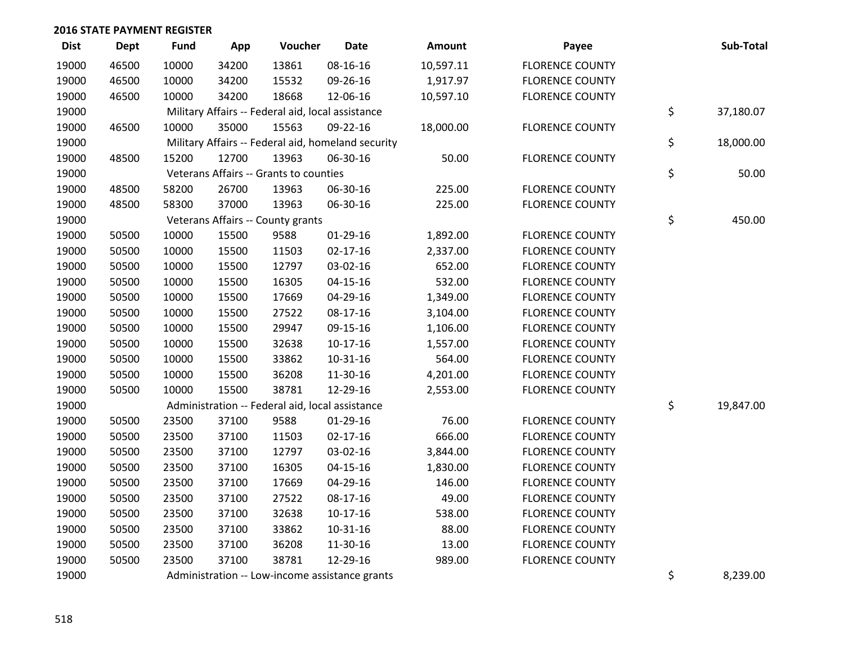| <b>Dist</b> | Dept  | <b>Fund</b> | App   | Voucher                                           | <b>Date</b>                                        | Amount    | Payee                  | Sub-Total       |
|-------------|-------|-------------|-------|---------------------------------------------------|----------------------------------------------------|-----------|------------------------|-----------------|
| 19000       | 46500 | 10000       | 34200 | 13861                                             | 08-16-16                                           | 10,597.11 | <b>FLORENCE COUNTY</b> |                 |
| 19000       | 46500 | 10000       | 34200 | 15532                                             | 09-26-16                                           | 1,917.97  | <b>FLORENCE COUNTY</b> |                 |
| 19000       | 46500 | 10000       | 34200 | 18668                                             | 12-06-16                                           | 10,597.10 | <b>FLORENCE COUNTY</b> |                 |
| 19000       |       |             |       | Military Affairs -- Federal aid, local assistance |                                                    |           |                        | \$<br>37,180.07 |
| 19000       | 46500 | 10000       | 35000 | 15563                                             | 09-22-16                                           | 18,000.00 | <b>FLORENCE COUNTY</b> |                 |
| 19000       |       |             |       |                                                   | Military Affairs -- Federal aid, homeland security |           |                        | \$<br>18,000.00 |
| 19000       | 48500 | 15200       | 12700 | 13963                                             | 06-30-16                                           | 50.00     | <b>FLORENCE COUNTY</b> |                 |
| 19000       |       |             |       | Veterans Affairs -- Grants to counties            |                                                    |           |                        | \$<br>50.00     |
| 19000       | 48500 | 58200       | 26700 | 13963                                             | 06-30-16                                           | 225.00    | <b>FLORENCE COUNTY</b> |                 |
| 19000       | 48500 | 58300       | 37000 | 13963                                             | 06-30-16                                           | 225.00    | <b>FLORENCE COUNTY</b> |                 |
| 19000       |       |             |       | Veterans Affairs -- County grants                 |                                                    |           |                        | \$<br>450.00    |
| 19000       | 50500 | 10000       | 15500 | 9588                                              | $01-29-16$                                         | 1,892.00  | <b>FLORENCE COUNTY</b> |                 |
| 19000       | 50500 | 10000       | 15500 | 11503                                             | $02 - 17 - 16$                                     | 2,337.00  | <b>FLORENCE COUNTY</b> |                 |
| 19000       | 50500 | 10000       | 15500 | 12797                                             | 03-02-16                                           | 652.00    | <b>FLORENCE COUNTY</b> |                 |
| 19000       | 50500 | 10000       | 15500 | 16305                                             | $04 - 15 - 16$                                     | 532.00    | <b>FLORENCE COUNTY</b> |                 |
| 19000       | 50500 | 10000       | 15500 | 17669                                             | 04-29-16                                           | 1,349.00  | <b>FLORENCE COUNTY</b> |                 |
| 19000       | 50500 | 10000       | 15500 | 27522                                             | 08-17-16                                           | 3,104.00  | <b>FLORENCE COUNTY</b> |                 |
| 19000       | 50500 | 10000       | 15500 | 29947                                             | 09-15-16                                           | 1,106.00  | <b>FLORENCE COUNTY</b> |                 |
| 19000       | 50500 | 10000       | 15500 | 32638                                             | $10-17-16$                                         | 1,557.00  | <b>FLORENCE COUNTY</b> |                 |
| 19000       | 50500 | 10000       | 15500 | 33862                                             | $10 - 31 - 16$                                     | 564.00    | <b>FLORENCE COUNTY</b> |                 |
| 19000       | 50500 | 10000       | 15500 | 36208                                             | 11-30-16                                           | 4,201.00  | <b>FLORENCE COUNTY</b> |                 |
| 19000       | 50500 | 10000       | 15500 | 38781                                             | 12-29-16                                           | 2,553.00  | <b>FLORENCE COUNTY</b> |                 |
| 19000       |       |             |       | Administration -- Federal aid, local assistance   |                                                    |           |                        | \$<br>19,847.00 |
| 19000       | 50500 | 23500       | 37100 | 9588                                              | $01-29-16$                                         | 76.00     | <b>FLORENCE COUNTY</b> |                 |
| 19000       | 50500 | 23500       | 37100 | 11503                                             | $02 - 17 - 16$                                     | 666.00    | <b>FLORENCE COUNTY</b> |                 |
| 19000       | 50500 | 23500       | 37100 | 12797                                             | 03-02-16                                           | 3,844.00  | <b>FLORENCE COUNTY</b> |                 |
| 19000       | 50500 | 23500       | 37100 | 16305                                             | $04 - 15 - 16$                                     | 1,830.00  | <b>FLORENCE COUNTY</b> |                 |
| 19000       | 50500 | 23500       | 37100 | 17669                                             | 04-29-16                                           | 146.00    | <b>FLORENCE COUNTY</b> |                 |
| 19000       | 50500 | 23500       | 37100 | 27522                                             | 08-17-16                                           | 49.00     | <b>FLORENCE COUNTY</b> |                 |
| 19000       | 50500 | 23500       | 37100 | 32638                                             | $10-17-16$                                         | 538.00    | <b>FLORENCE COUNTY</b> |                 |
| 19000       | 50500 | 23500       | 37100 | 33862                                             | $10 - 31 - 16$                                     | 88.00     | <b>FLORENCE COUNTY</b> |                 |
| 19000       | 50500 | 23500       | 37100 | 36208                                             | 11-30-16                                           | 13.00     | <b>FLORENCE COUNTY</b> |                 |
| 19000       | 50500 | 23500       | 37100 | 38781                                             | 12-29-16                                           | 989.00    | <b>FLORENCE COUNTY</b> |                 |
| 19000       |       |             |       |                                                   | Administration -- Low-income assistance grants     |           |                        | \$<br>8,239.00  |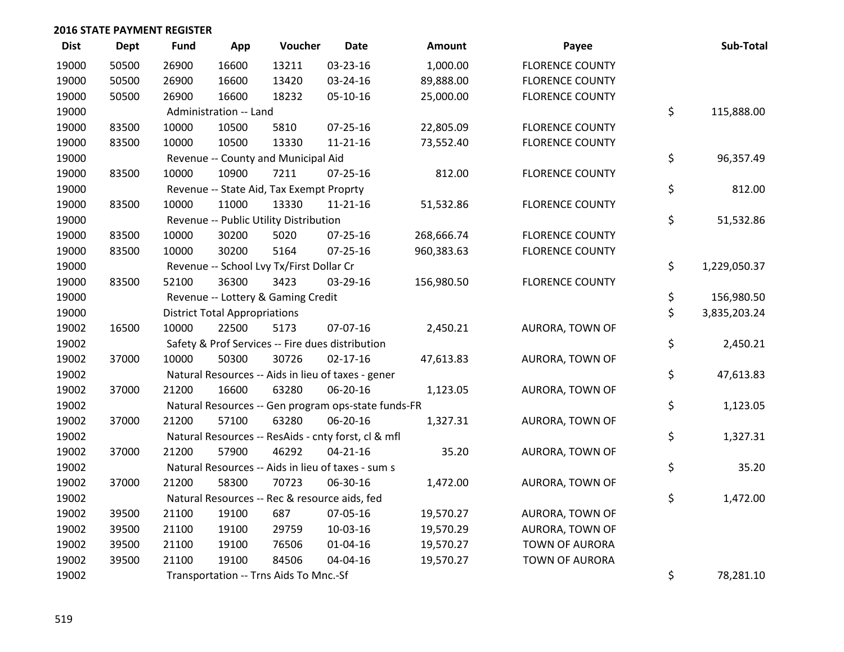| <b>Dist</b> | Dept  | <b>Fund</b> | App                                  | Voucher                                       | <b>Date</b>                                         | <b>Amount</b> | Payee                  | Sub-Total          |
|-------------|-------|-------------|--------------------------------------|-----------------------------------------------|-----------------------------------------------------|---------------|------------------------|--------------------|
| 19000       | 50500 | 26900       | 16600                                | 13211                                         | 03-23-16                                            | 1,000.00      | <b>FLORENCE COUNTY</b> |                    |
| 19000       | 50500 | 26900       | 16600                                | 13420                                         | 03-24-16                                            | 89,888.00     | <b>FLORENCE COUNTY</b> |                    |
| 19000       | 50500 | 26900       | 16600                                | 18232                                         | 05-10-16                                            | 25,000.00     | <b>FLORENCE COUNTY</b> |                    |
| 19000       |       |             | Administration -- Land               |                                               |                                                     |               |                        | \$<br>115,888.00   |
| 19000       | 83500 | 10000       | 10500                                | 5810                                          | 07-25-16                                            | 22,805.09     | <b>FLORENCE COUNTY</b> |                    |
| 19000       | 83500 | 10000       | 10500                                | 13330                                         | 11-21-16                                            | 73,552.40     | <b>FLORENCE COUNTY</b> |                    |
| 19000       |       |             |                                      | Revenue -- County and Municipal Aid           |                                                     |               |                        | \$<br>96,357.49    |
| 19000       | 83500 | 10000       | 10900                                | 7211                                          | $07 - 25 - 16$                                      | 812.00        | <b>FLORENCE COUNTY</b> |                    |
| 19000       |       |             |                                      | Revenue -- State Aid, Tax Exempt Proprty      |                                                     |               |                        | \$<br>812.00       |
| 19000       | 83500 | 10000       | 11000                                | 13330                                         | $11 - 21 - 16$                                      | 51,532.86     | <b>FLORENCE COUNTY</b> |                    |
| 19000       |       |             |                                      | Revenue -- Public Utility Distribution        |                                                     |               |                        | \$<br>51,532.86    |
| 19000       | 83500 | 10000       | 30200                                | 5020                                          | 07-25-16                                            | 268,666.74    | <b>FLORENCE COUNTY</b> |                    |
| 19000       | 83500 | 10000       | 30200                                | 5164                                          | $07 - 25 - 16$                                      | 960,383.63    | <b>FLORENCE COUNTY</b> |                    |
| 19000       |       |             |                                      | Revenue -- School Lvy Tx/First Dollar Cr      |                                                     |               |                        | \$<br>1,229,050.37 |
| 19000       | 83500 | 52100       | 36300                                | 3423                                          | 03-29-16                                            | 156,980.50    | <b>FLORENCE COUNTY</b> |                    |
| 19000       |       |             |                                      | Revenue -- Lottery & Gaming Credit            |                                                     |               |                        | \$<br>156,980.50   |
| 19000       |       |             | <b>District Total Appropriations</b> |                                               |                                                     |               |                        | \$<br>3,835,203.24 |
| 19002       | 16500 | 10000       | 22500                                | 5173                                          | 07-07-16                                            | 2,450.21      | AURORA, TOWN OF        |                    |
| 19002       |       |             |                                      |                                               | Safety & Prof Services -- Fire dues distribution    |               |                        | \$<br>2,450.21     |
| 19002       | 37000 | 10000       | 50300                                | 30726                                         | $02 - 17 - 16$                                      | 47,613.83     | AURORA, TOWN OF        |                    |
| 19002       |       |             |                                      |                                               | Natural Resources -- Aids in lieu of taxes - gener  |               |                        | \$<br>47,613.83    |
| 19002       | 37000 | 21200       | 16600                                | 63280                                         | 06-20-16                                            | 1,123.05      | AURORA, TOWN OF        |                    |
| 19002       |       |             |                                      |                                               | Natural Resources -- Gen program ops-state funds-FR |               |                        | \$<br>1,123.05     |
| 19002       | 37000 | 21200       | 57100                                | 63280                                         | 06-20-16                                            | 1,327.31      | AURORA, TOWN OF        |                    |
| 19002       |       |             |                                      |                                               | Natural Resources -- ResAids - cnty forst, cl & mfl |               |                        | \$<br>1,327.31     |
| 19002       | 37000 | 21200       | 57900                                | 46292                                         | $04 - 21 - 16$                                      | 35.20         | AURORA, TOWN OF        |                    |
| 19002       |       |             |                                      |                                               | Natural Resources -- Aids in lieu of taxes - sum s  |               |                        | \$<br>35.20        |
| 19002       | 37000 | 21200       | 58300                                | 70723                                         | 06-30-16                                            | 1,472.00      | AURORA, TOWN OF        |                    |
| 19002       |       |             |                                      | Natural Resources -- Rec & resource aids, fed |                                                     |               |                        | \$<br>1,472.00     |
| 19002       | 39500 | 21100       | 19100                                | 687                                           | 07-05-16                                            | 19,570.27     | AURORA, TOWN OF        |                    |
| 19002       | 39500 | 21100       | 19100                                | 29759                                         | 10-03-16                                            | 19,570.29     | AURORA, TOWN OF        |                    |
| 19002       | 39500 | 21100       | 19100                                | 76506                                         | $01 - 04 - 16$                                      | 19,570.27     | <b>TOWN OF AURORA</b>  |                    |
| 19002       | 39500 | 21100       | 19100                                | 84506                                         | 04-04-16                                            | 19,570.27     | <b>TOWN OF AURORA</b>  |                    |
| 19002       |       |             |                                      | Transportation -- Trns Aids To Mnc.-Sf        |                                                     |               |                        | \$<br>78,281.10    |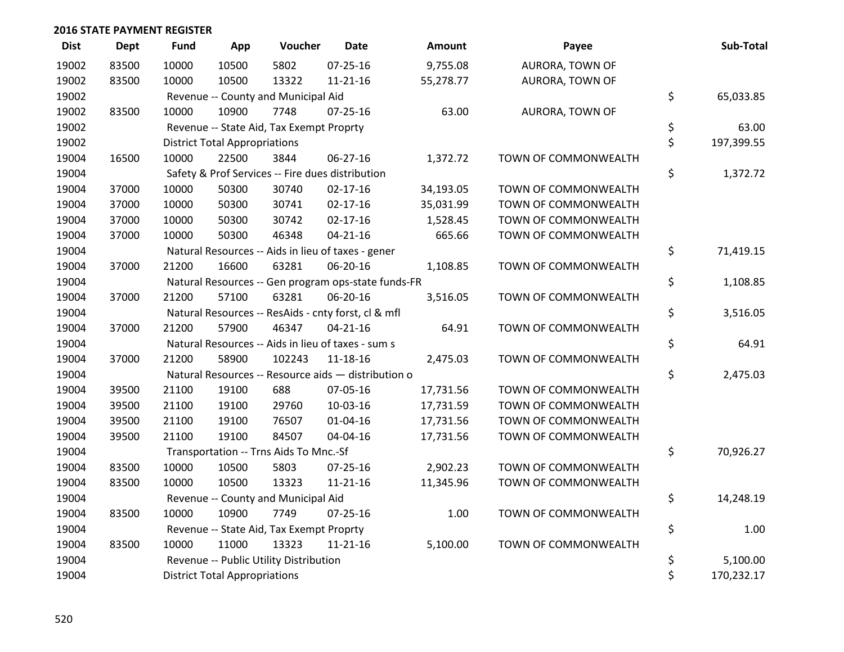| <b>Dist</b> | <b>Dept</b> | <b>Fund</b> | App                                  | Voucher                                  | <b>Date</b>                                         | <b>Amount</b> | Payee                  | Sub-Total        |
|-------------|-------------|-------------|--------------------------------------|------------------------------------------|-----------------------------------------------------|---------------|------------------------|------------------|
| 19002       | 83500       | 10000       | 10500                                | 5802                                     | $07 - 25 - 16$                                      | 9,755.08      | <b>AURORA, TOWN OF</b> |                  |
| 19002       | 83500       | 10000       | 10500                                | 13322                                    | $11 - 21 - 16$                                      | 55,278.77     | AURORA, TOWN OF        |                  |
| 19002       |             |             |                                      | Revenue -- County and Municipal Aid      |                                                     |               |                        | \$<br>65,033.85  |
| 19002       | 83500       | 10000       | 10900                                | 7748                                     | $07 - 25 - 16$                                      | 63.00         | AURORA, TOWN OF        |                  |
| 19002       |             |             |                                      | Revenue -- State Aid, Tax Exempt Proprty |                                                     |               |                        | \$<br>63.00      |
| 19002       |             |             | <b>District Total Appropriations</b> |                                          |                                                     |               |                        | \$<br>197,399.55 |
| 19004       | 16500       | 10000       | 22500                                | 3844                                     | $06 - 27 - 16$                                      | 1,372.72      | TOWN OF COMMONWEALTH   |                  |
| 19004       |             |             |                                      |                                          | Safety & Prof Services -- Fire dues distribution    |               |                        | \$<br>1,372.72   |
| 19004       | 37000       | 10000       | 50300                                | 30740                                    | $02 - 17 - 16$                                      | 34,193.05     | TOWN OF COMMONWEALTH   |                  |
| 19004       | 37000       | 10000       | 50300                                | 30741                                    | $02 - 17 - 16$                                      | 35,031.99     | TOWN OF COMMONWEALTH   |                  |
| 19004       | 37000       | 10000       | 50300                                | 30742                                    | $02 - 17 - 16$                                      | 1,528.45      | TOWN OF COMMONWEALTH   |                  |
| 19004       | 37000       | 10000       | 50300                                | 46348                                    | $04 - 21 - 16$                                      | 665.66        | TOWN OF COMMONWEALTH   |                  |
| 19004       |             |             |                                      |                                          | Natural Resources -- Aids in lieu of taxes - gener  |               |                        | \$<br>71,419.15  |
| 19004       | 37000       | 21200       | 16600                                | 63281                                    | 06-20-16                                            | 1,108.85      | TOWN OF COMMONWEALTH   |                  |
| 19004       |             |             |                                      |                                          | Natural Resources -- Gen program ops-state funds-FR |               |                        | \$<br>1,108.85   |
| 19004       | 37000       | 21200       | 57100                                | 63281                                    | 06-20-16                                            | 3,516.05      | TOWN OF COMMONWEALTH   |                  |
| 19004       |             |             |                                      |                                          | Natural Resources -- ResAids - cnty forst, cl & mfl |               |                        | \$<br>3,516.05   |
| 19004       | 37000       | 21200       | 57900                                | 46347                                    | $04 - 21 - 16$                                      | 64.91         | TOWN OF COMMONWEALTH   |                  |
| 19004       |             |             |                                      |                                          | Natural Resources -- Aids in lieu of taxes - sum s  |               |                        | \$<br>64.91      |
| 19004       | 37000       | 21200       | 58900                                | 102243                                   | $11 - 18 - 16$                                      | 2,475.03      | TOWN OF COMMONWEALTH   |                  |
| 19004       |             |             |                                      |                                          | Natural Resources -- Resource aids - distribution o |               |                        | \$<br>2,475.03   |
| 19004       | 39500       | 21100       | 19100                                | 688                                      | 07-05-16                                            | 17,731.56     | TOWN OF COMMONWEALTH   |                  |
| 19004       | 39500       | 21100       | 19100                                | 29760                                    | 10-03-16                                            | 17,731.59     | TOWN OF COMMONWEALTH   |                  |
| 19004       | 39500       | 21100       | 19100                                | 76507                                    | $01 - 04 - 16$                                      | 17,731.56     | TOWN OF COMMONWEALTH   |                  |
| 19004       | 39500       | 21100       | 19100                                | 84507                                    | 04-04-16                                            | 17,731.56     | TOWN OF COMMONWEALTH   |                  |
| 19004       |             |             |                                      | Transportation -- Trns Aids To Mnc.-Sf   |                                                     |               |                        | \$<br>70,926.27  |
| 19004       | 83500       | 10000       | 10500                                | 5803                                     | $07 - 25 - 16$                                      | 2,902.23      | TOWN OF COMMONWEALTH   |                  |
| 19004       | 83500       | 10000       | 10500                                | 13323                                    | 11-21-16                                            | 11,345.96     | TOWN OF COMMONWEALTH   |                  |
| 19004       |             |             |                                      | Revenue -- County and Municipal Aid      |                                                     |               |                        | \$<br>14,248.19  |
| 19004       | 83500       | 10000       | 10900                                | 7749                                     | $07 - 25 - 16$                                      | 1.00          | TOWN OF COMMONWEALTH   |                  |
| 19004       |             |             |                                      | Revenue -- State Aid, Tax Exempt Proprty |                                                     |               |                        | \$<br>1.00       |
| 19004       | 83500       | 10000       | 11000                                | 13323                                    | $11 - 21 - 16$                                      | 5,100.00      | TOWN OF COMMONWEALTH   |                  |
| 19004       |             |             |                                      | Revenue -- Public Utility Distribution   |                                                     |               |                        | \$<br>5,100.00   |
| 19004       |             |             | <b>District Total Appropriations</b> |                                          |                                                     |               |                        | \$<br>170,232.17 |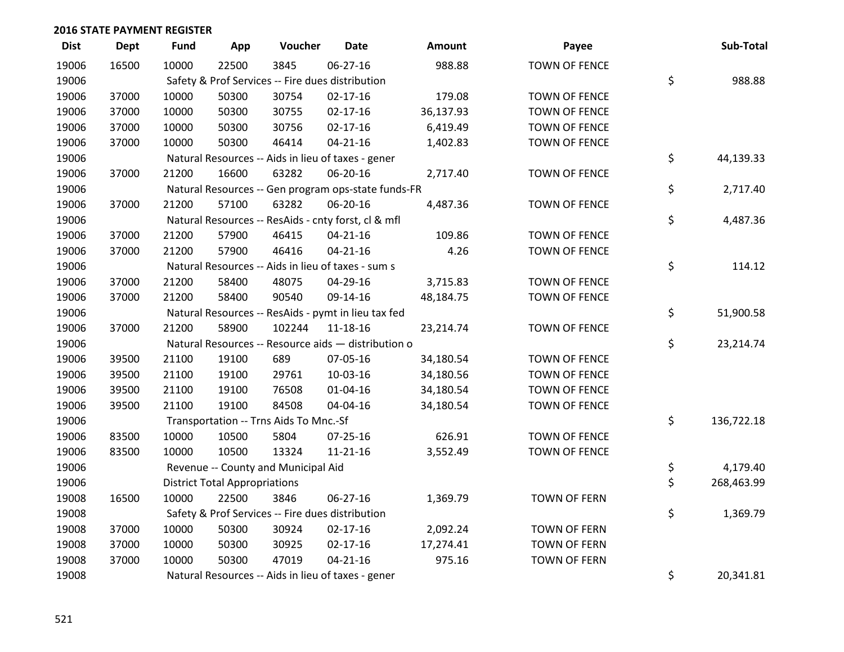| <b>Dist</b> | <b>Dept</b> | <b>Fund</b> | App                                  | Voucher                                             | Date           | <b>Amount</b> | Payee                | Sub-Total        |
|-------------|-------------|-------------|--------------------------------------|-----------------------------------------------------|----------------|---------------|----------------------|------------------|
| 19006       | 16500       | 10000       | 22500                                | 3845                                                | $06 - 27 - 16$ | 988.88        | <b>TOWN OF FENCE</b> |                  |
| 19006       |             |             |                                      | Safety & Prof Services -- Fire dues distribution    |                |               |                      | \$<br>988.88     |
| 19006       | 37000       | 10000       | 50300                                | 30754                                               | $02 - 17 - 16$ | 179.08        | <b>TOWN OF FENCE</b> |                  |
| 19006       | 37000       | 10000       | 50300                                | 30755                                               | $02 - 17 - 16$ | 36,137.93     | <b>TOWN OF FENCE</b> |                  |
| 19006       | 37000       | 10000       | 50300                                | 30756                                               | $02 - 17 - 16$ | 6,419.49      | <b>TOWN OF FENCE</b> |                  |
| 19006       | 37000       | 10000       | 50300                                | 46414                                               | $04 - 21 - 16$ | 1,402.83      | <b>TOWN OF FENCE</b> |                  |
| 19006       |             |             |                                      | Natural Resources -- Aids in lieu of taxes - gener  |                |               |                      | \$<br>44,139.33  |
| 19006       | 37000       | 21200       | 16600                                | 63282                                               | 06-20-16       | 2,717.40      | <b>TOWN OF FENCE</b> |                  |
| 19006       |             |             |                                      | Natural Resources -- Gen program ops-state funds-FR |                |               |                      | \$<br>2,717.40   |
| 19006       | 37000       | 21200       | 57100                                | 63282                                               | 06-20-16       | 4,487.36      | <b>TOWN OF FENCE</b> |                  |
| 19006       |             |             |                                      | Natural Resources -- ResAids - cnty forst, cl & mfl |                |               |                      | \$<br>4,487.36   |
| 19006       | 37000       | 21200       | 57900                                | 46415                                               | $04 - 21 - 16$ | 109.86        | <b>TOWN OF FENCE</b> |                  |
| 19006       | 37000       | 21200       | 57900                                | 46416                                               | $04 - 21 - 16$ | 4.26          | <b>TOWN OF FENCE</b> |                  |
| 19006       |             |             |                                      | Natural Resources -- Aids in lieu of taxes - sum s  |                |               |                      | \$<br>114.12     |
| 19006       | 37000       | 21200       | 58400                                | 48075                                               | 04-29-16       | 3,715.83      | <b>TOWN OF FENCE</b> |                  |
| 19006       | 37000       | 21200       | 58400                                | 90540                                               | 09-14-16       | 48,184.75     | <b>TOWN OF FENCE</b> |                  |
| 19006       |             |             |                                      | Natural Resources -- ResAids - pymt in lieu tax fed |                |               |                      | \$<br>51,900.58  |
| 19006       | 37000       | 21200       | 58900                                | 102244                                              | 11-18-16       | 23,214.74     | <b>TOWN OF FENCE</b> |                  |
| 19006       |             |             |                                      | Natural Resources -- Resource aids - distribution o |                |               |                      | \$<br>23,214.74  |
| 19006       | 39500       | 21100       | 19100                                | 689                                                 | 07-05-16       | 34,180.54     | <b>TOWN OF FENCE</b> |                  |
| 19006       | 39500       | 21100       | 19100                                | 29761                                               | 10-03-16       | 34,180.56     | <b>TOWN OF FENCE</b> |                  |
| 19006       | 39500       | 21100       | 19100                                | 76508                                               | $01 - 04 - 16$ | 34,180.54     | <b>TOWN OF FENCE</b> |                  |
| 19006       | 39500       | 21100       | 19100                                | 84508                                               | 04-04-16       | 34,180.54     | <b>TOWN OF FENCE</b> |                  |
| 19006       |             |             |                                      | Transportation -- Trns Aids To Mnc.-Sf              |                |               |                      | \$<br>136,722.18 |
| 19006       | 83500       | 10000       | 10500                                | 5804                                                | 07-25-16       | 626.91        | <b>TOWN OF FENCE</b> |                  |
| 19006       | 83500       | 10000       | 10500                                | 13324                                               | 11-21-16       | 3,552.49      | <b>TOWN OF FENCE</b> |                  |
| 19006       |             |             |                                      | Revenue -- County and Municipal Aid                 |                |               |                      | \$<br>4,179.40   |
| 19006       |             |             | <b>District Total Appropriations</b> |                                                     |                |               |                      | \$<br>268,463.99 |
| 19008       | 16500       | 10000       | 22500                                | 3846                                                | 06-27-16       | 1,369.79      | <b>TOWN OF FERN</b>  |                  |
| 19008       |             |             |                                      | Safety & Prof Services -- Fire dues distribution    |                |               |                      | \$<br>1,369.79   |
| 19008       | 37000       | 10000       | 50300                                | 30924                                               | $02 - 17 - 16$ | 2,092.24      | <b>TOWN OF FERN</b>  |                  |
| 19008       | 37000       | 10000       | 50300                                | 30925                                               | $02 - 17 - 16$ | 17,274.41     | <b>TOWN OF FERN</b>  |                  |
| 19008       | 37000       | 10000       | 50300                                | 47019                                               | $04 - 21 - 16$ | 975.16        | <b>TOWN OF FERN</b>  |                  |
| 19008       |             |             |                                      | Natural Resources -- Aids in lieu of taxes - gener  |                |               |                      | \$<br>20,341.81  |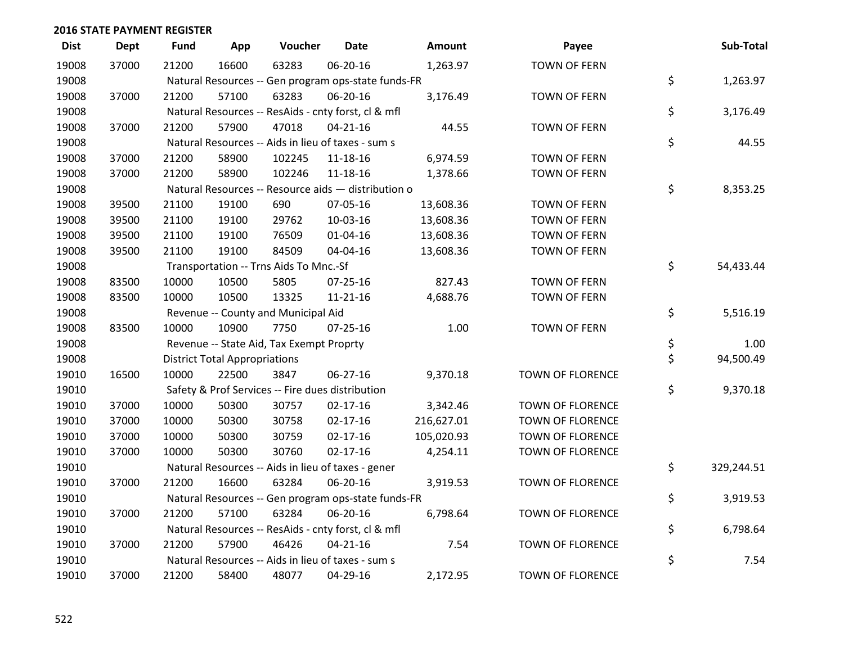| <b>Dist</b> | <b>Dept</b> | <b>Fund</b> | App                                  | Voucher                                             | Date           | <b>Amount</b> | Payee                   | Sub-Total        |
|-------------|-------------|-------------|--------------------------------------|-----------------------------------------------------|----------------|---------------|-------------------------|------------------|
| 19008       | 37000       | 21200       | 16600                                | 63283                                               | 06-20-16       | 1,263.97      | <b>TOWN OF FERN</b>     |                  |
| 19008       |             |             |                                      | Natural Resources -- Gen program ops-state funds-FR |                |               |                         | \$<br>1,263.97   |
| 19008       | 37000       | 21200       | 57100                                | 63283                                               | 06-20-16       | 3,176.49      | <b>TOWN OF FERN</b>     |                  |
| 19008       |             |             |                                      | Natural Resources -- ResAids - cnty forst, cl & mfl |                |               |                         | \$<br>3,176.49   |
| 19008       | 37000       | 21200       | 57900                                | 47018                                               | $04 - 21 - 16$ | 44.55         | <b>TOWN OF FERN</b>     |                  |
| 19008       |             |             |                                      | Natural Resources -- Aids in lieu of taxes - sum s  |                |               |                         | \$<br>44.55      |
| 19008       | 37000       | 21200       | 58900                                | 102245                                              | 11-18-16       | 6,974.59      | <b>TOWN OF FERN</b>     |                  |
| 19008       | 37000       | 21200       | 58900                                | 102246                                              | 11-18-16       | 1,378.66      | <b>TOWN OF FERN</b>     |                  |
| 19008       |             |             |                                      | Natural Resources -- Resource aids - distribution o |                |               |                         | \$<br>8,353.25   |
| 19008       | 39500       | 21100       | 19100                                | 690                                                 | 07-05-16       | 13,608.36     | <b>TOWN OF FERN</b>     |                  |
| 19008       | 39500       | 21100       | 19100                                | 29762                                               | 10-03-16       | 13,608.36     | <b>TOWN OF FERN</b>     |                  |
| 19008       | 39500       | 21100       | 19100                                | 76509                                               | $01 - 04 - 16$ | 13,608.36     | <b>TOWN OF FERN</b>     |                  |
| 19008       | 39500       | 21100       | 19100                                | 84509                                               | 04-04-16       | 13,608.36     | <b>TOWN OF FERN</b>     |                  |
| 19008       |             |             |                                      | Transportation -- Trns Aids To Mnc.-Sf              |                |               |                         | \$<br>54,433.44  |
| 19008       | 83500       | 10000       | 10500                                | 5805                                                | 07-25-16       | 827.43        | <b>TOWN OF FERN</b>     |                  |
| 19008       | 83500       | 10000       | 10500                                | 13325                                               | $11 - 21 - 16$ | 4,688.76      | <b>TOWN OF FERN</b>     |                  |
| 19008       |             |             |                                      | Revenue -- County and Municipal Aid                 |                |               |                         | \$<br>5,516.19   |
| 19008       | 83500       | 10000       | 10900                                | 7750                                                | 07-25-16       | 1.00          | <b>TOWN OF FERN</b>     |                  |
| 19008       |             |             |                                      | Revenue -- State Aid, Tax Exempt Proprty            |                |               |                         | \$<br>1.00       |
| 19008       |             |             | <b>District Total Appropriations</b> |                                                     |                |               |                         | \$<br>94,500.49  |
| 19010       | 16500       | 10000       | 22500                                | 3847                                                | 06-27-16       | 9,370.18      | TOWN OF FLORENCE        |                  |
| 19010       |             |             |                                      | Safety & Prof Services -- Fire dues distribution    |                |               |                         | \$<br>9,370.18   |
| 19010       | 37000       | 10000       | 50300                                | 30757                                               | $02 - 17 - 16$ | 3,342.46      | TOWN OF FLORENCE        |                  |
| 19010       | 37000       | 10000       | 50300                                | 30758                                               | $02 - 17 - 16$ | 216,627.01    | <b>TOWN OF FLORENCE</b> |                  |
| 19010       | 37000       | 10000       | 50300                                | 30759                                               | $02 - 17 - 16$ | 105,020.93    | <b>TOWN OF FLORENCE</b> |                  |
| 19010       | 37000       | 10000       | 50300                                | 30760                                               | $02 - 17 - 16$ | 4,254.11      | TOWN OF FLORENCE        |                  |
| 19010       |             |             |                                      | Natural Resources -- Aids in lieu of taxes - gener  |                |               |                         | \$<br>329,244.51 |
| 19010       | 37000       | 21200       | 16600                                | 63284                                               | 06-20-16       | 3,919.53      | <b>TOWN OF FLORENCE</b> |                  |
| 19010       |             |             |                                      | Natural Resources -- Gen program ops-state funds-FR |                |               |                         | \$<br>3,919.53   |
| 19010       | 37000       | 21200       | 57100                                | 63284                                               | 06-20-16       | 6,798.64      | TOWN OF FLORENCE        |                  |
| 19010       |             |             |                                      | Natural Resources -- ResAids - cnty forst, cl & mfl |                |               |                         | \$<br>6,798.64   |
| 19010       | 37000       | 21200       | 57900                                | 46426                                               | $04 - 21 - 16$ | 7.54          | <b>TOWN OF FLORENCE</b> |                  |
| 19010       |             |             |                                      | Natural Resources -- Aids in lieu of taxes - sum s  |                |               |                         | \$<br>7.54       |
| 19010       | 37000       | 21200       | 58400                                | 48077                                               | 04-29-16       | 2,172.95      | <b>TOWN OF FLORENCE</b> |                  |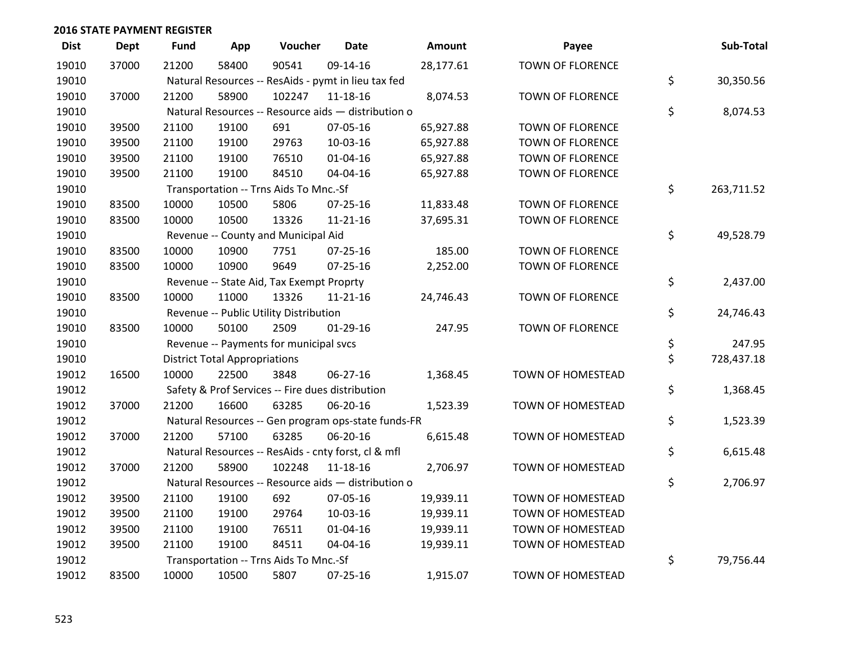| <b>Dist</b> | <b>Dept</b> | <b>Fund</b> | App                                  | Voucher                                  | <b>Date</b>                                         | <b>Amount</b> | Payee                    | Sub-Total        |
|-------------|-------------|-------------|--------------------------------------|------------------------------------------|-----------------------------------------------------|---------------|--------------------------|------------------|
| 19010       | 37000       | 21200       | 58400                                | 90541                                    | 09-14-16                                            | 28,177.61     | <b>TOWN OF FLORENCE</b>  |                  |
| 19010       |             |             |                                      |                                          | Natural Resources -- ResAids - pymt in lieu tax fed |               |                          | \$<br>30,350.56  |
| 19010       | 37000       | 21200       | 58900                                | 102247                                   | 11-18-16                                            | 8,074.53      | <b>TOWN OF FLORENCE</b>  |                  |
| 19010       |             |             |                                      |                                          | Natural Resources -- Resource aids - distribution o |               |                          | \$<br>8,074.53   |
| 19010       | 39500       | 21100       | 19100                                | 691                                      | 07-05-16                                            | 65,927.88     | TOWN OF FLORENCE         |                  |
| 19010       | 39500       | 21100       | 19100                                | 29763                                    | 10-03-16                                            | 65,927.88     | TOWN OF FLORENCE         |                  |
| 19010       | 39500       | 21100       | 19100                                | 76510                                    | $01 - 04 - 16$                                      | 65,927.88     | TOWN OF FLORENCE         |                  |
| 19010       | 39500       | 21100       | 19100                                | 84510                                    | 04-04-16                                            | 65,927.88     | <b>TOWN OF FLORENCE</b>  |                  |
| 19010       |             |             |                                      | Transportation -- Trns Aids To Mnc.-Sf   |                                                     |               |                          | \$<br>263,711.52 |
| 19010       | 83500       | 10000       | 10500                                | 5806                                     | 07-25-16                                            | 11,833.48     | TOWN OF FLORENCE         |                  |
| 19010       | 83500       | 10000       | 10500                                | 13326                                    | $11 - 21 - 16$                                      | 37,695.31     | TOWN OF FLORENCE         |                  |
| 19010       |             |             |                                      | Revenue -- County and Municipal Aid      |                                                     |               |                          | \$<br>49,528.79  |
| 19010       | 83500       | 10000       | 10900                                | 7751                                     | $07 - 25 - 16$                                      | 185.00        | <b>TOWN OF FLORENCE</b>  |                  |
| 19010       | 83500       | 10000       | 10900                                | 9649                                     | $07 - 25 - 16$                                      | 2,252.00      | <b>TOWN OF FLORENCE</b>  |                  |
| 19010       |             |             |                                      | Revenue -- State Aid, Tax Exempt Proprty |                                                     |               |                          | \$<br>2,437.00   |
| 19010       | 83500       | 10000       | 11000                                | 13326                                    | $11 - 21 - 16$                                      | 24,746.43     | <b>TOWN OF FLORENCE</b>  |                  |
| 19010       |             |             |                                      | Revenue -- Public Utility Distribution   |                                                     |               |                          | \$<br>24,746.43  |
| 19010       | 83500       | 10000       | 50100                                | 2509                                     | $01-29-16$                                          | 247.95        | TOWN OF FLORENCE         |                  |
| 19010       |             |             |                                      | Revenue -- Payments for municipal svcs   |                                                     |               |                          | \$<br>247.95     |
| 19010       |             |             | <b>District Total Appropriations</b> |                                          |                                                     |               |                          | \$<br>728,437.18 |
| 19012       | 16500       | 10000       | 22500                                | 3848                                     | 06-27-16                                            | 1,368.45      | TOWN OF HOMESTEAD        |                  |
| 19012       |             |             |                                      |                                          | Safety & Prof Services -- Fire dues distribution    |               |                          | \$<br>1,368.45   |
| 19012       | 37000       | 21200       | 16600                                | 63285                                    | 06-20-16                                            | 1,523.39      | TOWN OF HOMESTEAD        |                  |
| 19012       |             |             |                                      |                                          | Natural Resources -- Gen program ops-state funds-FR |               |                          | \$<br>1,523.39   |
| 19012       | 37000       | 21200       | 57100                                | 63285                                    | 06-20-16                                            | 6,615.48      | TOWN OF HOMESTEAD        |                  |
| 19012       |             |             |                                      |                                          | Natural Resources -- ResAids - cnty forst, cl & mfl |               |                          | \$<br>6,615.48   |
| 19012       | 37000       | 21200       | 58900                                | 102248                                   | 11-18-16                                            | 2,706.97      | TOWN OF HOMESTEAD        |                  |
| 19012       |             |             |                                      |                                          | Natural Resources -- Resource aids - distribution o |               |                          | \$<br>2,706.97   |
| 19012       | 39500       | 21100       | 19100                                | 692                                      | 07-05-16                                            | 19,939.11     | TOWN OF HOMESTEAD        |                  |
| 19012       | 39500       | 21100       | 19100                                | 29764                                    | 10-03-16                                            | 19,939.11     | TOWN OF HOMESTEAD        |                  |
| 19012       | 39500       | 21100       | 19100                                | 76511                                    | $01 - 04 - 16$                                      | 19,939.11     | TOWN OF HOMESTEAD        |                  |
| 19012       | 39500       | 21100       | 19100                                | 84511                                    | 04-04-16                                            | 19,939.11     | TOWN OF HOMESTEAD        |                  |
| 19012       |             |             |                                      | Transportation -- Trns Aids To Mnc.-Sf   |                                                     |               |                          | \$<br>79,756.44  |
| 19012       | 83500       | 10000       | 10500                                | 5807                                     | 07-25-16                                            | 1,915.07      | <b>TOWN OF HOMESTEAD</b> |                  |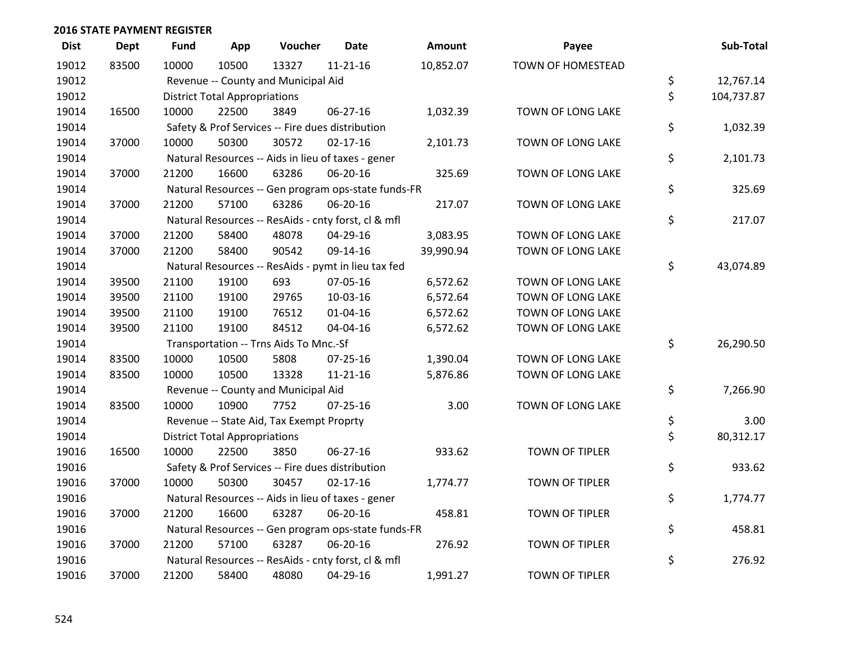| <b>Dist</b> | <b>Dept</b> | Fund  | App                                  | Voucher                                  | <b>Date</b>                                         | <b>Amount</b> | Payee                 | Sub-Total        |
|-------------|-------------|-------|--------------------------------------|------------------------------------------|-----------------------------------------------------|---------------|-----------------------|------------------|
| 19012       | 83500       | 10000 | 10500                                | 13327                                    | $11 - 21 - 16$                                      | 10,852.07     | TOWN OF HOMESTEAD     |                  |
| 19012       |             |       |                                      | Revenue -- County and Municipal Aid      |                                                     |               |                       | \$<br>12,767.14  |
| 19012       |             |       | <b>District Total Appropriations</b> |                                          |                                                     |               |                       | \$<br>104,737.87 |
| 19014       | 16500       | 10000 | 22500                                | 3849                                     | 06-27-16                                            | 1,032.39      | TOWN OF LONG LAKE     |                  |
| 19014       |             |       |                                      |                                          | Safety & Prof Services -- Fire dues distribution    |               |                       | \$<br>1,032.39   |
| 19014       | 37000       | 10000 | 50300                                | 30572                                    | $02 - 17 - 16$                                      | 2,101.73      | TOWN OF LONG LAKE     |                  |
| 19014       |             |       |                                      |                                          | Natural Resources -- Aids in lieu of taxes - gener  |               |                       | \$<br>2,101.73   |
| 19014       | 37000       | 21200 | 16600                                | 63286                                    | 06-20-16                                            | 325.69        | TOWN OF LONG LAKE     |                  |
| 19014       |             |       |                                      |                                          | Natural Resources -- Gen program ops-state funds-FR |               |                       | \$<br>325.69     |
| 19014       | 37000       | 21200 | 57100                                | 63286                                    | 06-20-16                                            | 217.07        | TOWN OF LONG LAKE     |                  |
| 19014       |             |       |                                      |                                          | Natural Resources -- ResAids - cnty forst, cl & mfl |               |                       | \$<br>217.07     |
| 19014       | 37000       | 21200 | 58400                                | 48078                                    | 04-29-16                                            | 3,083.95      | TOWN OF LONG LAKE     |                  |
| 19014       | 37000       | 21200 | 58400                                | 90542                                    | 09-14-16                                            | 39,990.94     | TOWN OF LONG LAKE     |                  |
| 19014       |             |       |                                      |                                          | Natural Resources -- ResAids - pymt in lieu tax fed |               |                       | \$<br>43,074.89  |
| 19014       | 39500       | 21100 | 19100                                | 693                                      | 07-05-16                                            | 6,572.62      | TOWN OF LONG LAKE     |                  |
| 19014       | 39500       | 21100 | 19100                                | 29765                                    | 10-03-16                                            | 6,572.64      | TOWN OF LONG LAKE     |                  |
| 19014       | 39500       | 21100 | 19100                                | 76512                                    | 01-04-16                                            | 6,572.62      | TOWN OF LONG LAKE     |                  |
| 19014       | 39500       | 21100 | 19100                                | 84512                                    | 04-04-16                                            | 6,572.62      | TOWN OF LONG LAKE     |                  |
| 19014       |             |       |                                      | Transportation -- Trns Aids To Mnc.-Sf   |                                                     |               |                       | \$<br>26,290.50  |
| 19014       | 83500       | 10000 | 10500                                | 5808                                     | 07-25-16                                            | 1,390.04      | TOWN OF LONG LAKE     |                  |
| 19014       | 83500       | 10000 | 10500                                | 13328                                    | $11 - 21 - 16$                                      | 5,876.86      | TOWN OF LONG LAKE     |                  |
| 19014       |             |       |                                      | Revenue -- County and Municipal Aid      |                                                     |               |                       | \$<br>7,266.90   |
| 19014       | 83500       | 10000 | 10900                                | 7752                                     | $07 - 25 - 16$                                      | 3.00          | TOWN OF LONG LAKE     |                  |
| 19014       |             |       |                                      | Revenue -- State Aid, Tax Exempt Proprty |                                                     |               |                       | \$<br>3.00       |
| 19014       |             |       | <b>District Total Appropriations</b> |                                          |                                                     |               |                       | \$<br>80,312.17  |
| 19016       | 16500       | 10000 | 22500                                | 3850                                     | 06-27-16                                            | 933.62        | <b>TOWN OF TIPLER</b> |                  |
| 19016       |             |       |                                      |                                          | Safety & Prof Services -- Fire dues distribution    |               |                       | \$<br>933.62     |
| 19016       | 37000       | 10000 | 50300                                | 30457                                    | $02 - 17 - 16$                                      | 1,774.77      | <b>TOWN OF TIPLER</b> |                  |
| 19016       |             |       |                                      |                                          | Natural Resources -- Aids in lieu of taxes - gener  |               |                       | \$<br>1,774.77   |
| 19016       | 37000       | 21200 | 16600                                | 63287                                    | 06-20-16                                            | 458.81        | <b>TOWN OF TIPLER</b> |                  |
| 19016       |             |       |                                      |                                          | Natural Resources -- Gen program ops-state funds-FR |               |                       | \$<br>458.81     |
| 19016       | 37000       | 21200 | 57100                                | 63287                                    | 06-20-16                                            | 276.92        | <b>TOWN OF TIPLER</b> |                  |
| 19016       |             |       |                                      |                                          | Natural Resources -- ResAids - cnty forst, cl & mfl |               |                       | \$<br>276.92     |
| 19016       | 37000       | 21200 | 58400                                | 48080                                    | 04-29-16                                            | 1,991.27      | <b>TOWN OF TIPLER</b> |                  |